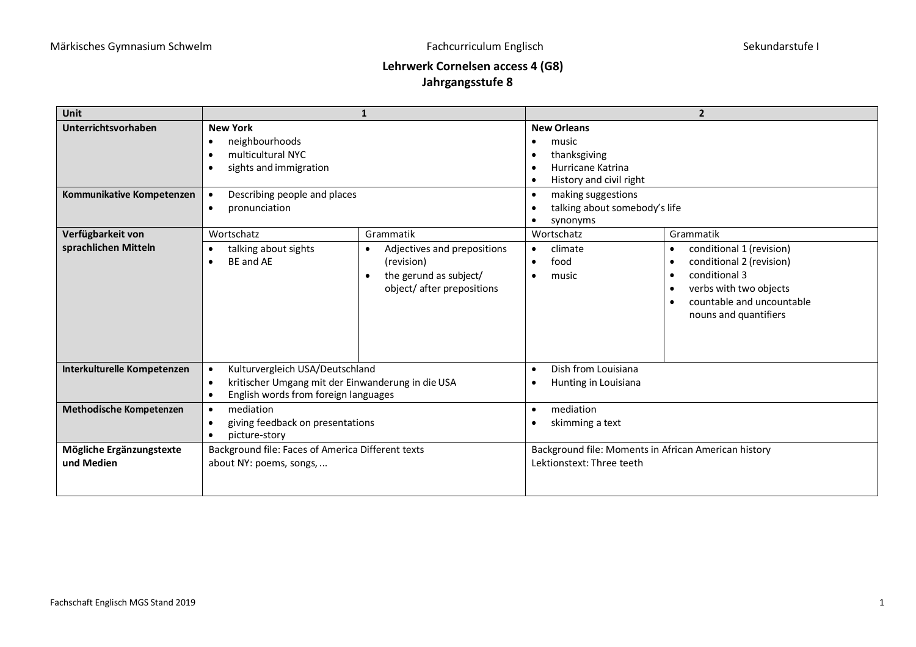## **Lehrwerk Cornelsen access 4 (G8) Jahrgangsstufe 8**

| <b>Unit</b>                                      |                                                                                                                                                             | 1                                                                                                                                | $\overline{2}$                                                                                                                                                                                                                                            |                                                                                                                                                                                                           |  |
|--------------------------------------------------|-------------------------------------------------------------------------------------------------------------------------------------------------------------|----------------------------------------------------------------------------------------------------------------------------------|-----------------------------------------------------------------------------------------------------------------------------------------------------------------------------------------------------------------------------------------------------------|-----------------------------------------------------------------------------------------------------------------------------------------------------------------------------------------------------------|--|
| Unterrichtsvorhaben<br>Kommunikative Kompetenzen | <b>New York</b><br>neighbourhoods<br>multicultural NYC<br>sights and immigration<br>Describing people and places<br>$\bullet$<br>pronunciation<br>$\bullet$ |                                                                                                                                  | <b>New Orleans</b><br>music<br>$\bullet$<br>thanksgiving<br>$\bullet$<br>Hurricane Katrina<br>$\bullet$<br>History and civil right<br>$\bullet$<br>making suggestions<br>$\bullet$<br>talking about somebody's life<br>$\bullet$<br>synonyms<br>$\bullet$ |                                                                                                                                                                                                           |  |
| Verfügbarkeit von<br>sprachlichen Mitteln        | Wortschatz<br>talking about sights<br>$\bullet$<br>BF and AF                                                                                                | Grammatik<br>Adjectives and prepositions<br>٠<br>(revision)<br>the gerund as subject/<br>$\bullet$<br>object/ after prepositions | Wortschatz<br>climate<br>$\bullet$<br>food<br>$\bullet$<br>music<br>$\bullet$                                                                                                                                                                             | Grammatik<br>conditional 1 (revision)<br>$\bullet$<br>conditional 2 (revision)<br>$\bullet$<br>conditional 3<br>$\bullet$<br>verbs with two objects<br>countable and uncountable<br>nouns and quantifiers |  |
| Interkulturelle Kompetenzen                      | Kulturvergleich USA/Deutschland<br>$\bullet$<br>kritischer Umgang mit der Einwanderung in die USA<br>$\bullet$<br>English words from foreign languages      |                                                                                                                                  | Dish from Louisiana<br>$\bullet$<br>Hunting in Louisiana<br>$\bullet$                                                                                                                                                                                     |                                                                                                                                                                                                           |  |
| Methodische Kompetenzen                          | mediation<br>$\bullet$<br>giving feedback on presentations<br>picture-story<br>$\bullet$                                                                    |                                                                                                                                  | mediation<br>$\bullet$<br>skimming a text<br>$\bullet$                                                                                                                                                                                                    |                                                                                                                                                                                                           |  |
| Mögliche Ergänzungstexte<br>und Medien           | Background file: Faces of America Different texts<br>about NY: poems, songs,                                                                                |                                                                                                                                  | Background file: Moments in African American history<br>Lektionstext: Three teeth                                                                                                                                                                         |                                                                                                                                                                                                           |  |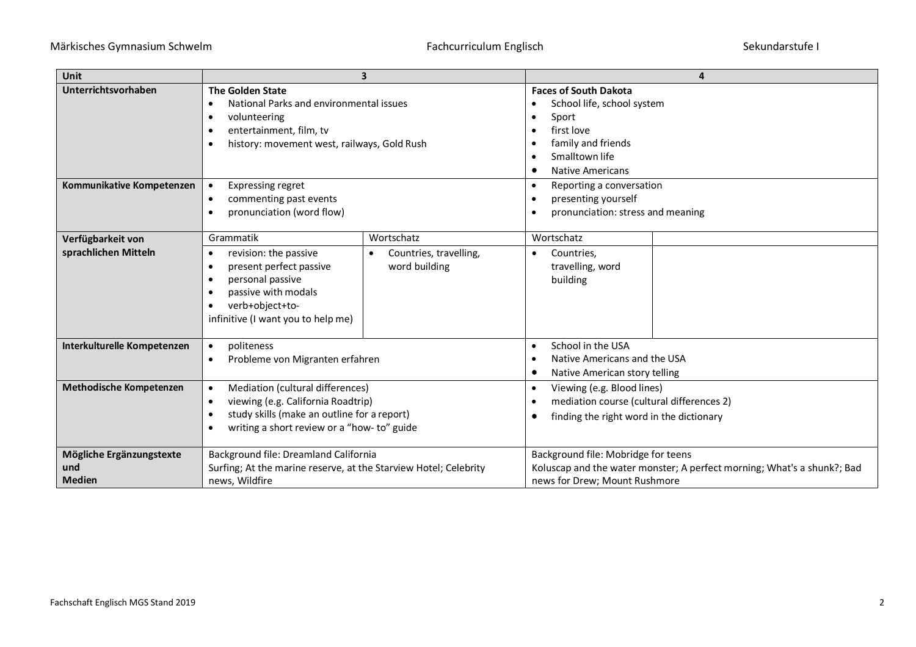| Unit                                             | 3                                                                                                                                                                                                           |                                                       | 4                                                                                                                                                                                                                     |  |
|--------------------------------------------------|-------------------------------------------------------------------------------------------------------------------------------------------------------------------------------------------------------------|-------------------------------------------------------|-----------------------------------------------------------------------------------------------------------------------------------------------------------------------------------------------------------------------|--|
| Unterrichtsvorhaben                              | <b>The Golden State</b><br>National Parks and environmental issues<br>volunteering<br>٠<br>entertainment, film, tv<br>history: movement west, railways, Gold Rush                                           |                                                       | <b>Faces of South Dakota</b><br>School life, school system<br>$\bullet$<br>Sport<br>$\bullet$<br>first love<br>$\bullet$<br>family and friends<br>Smalltown life<br>$\bullet$<br><b>Native Americans</b><br>$\bullet$ |  |
| Kommunikative Kompetenzen                        | <b>Expressing regret</b><br>$\bullet$<br>commenting past events<br>$\bullet$<br>pronunciation (word flow)                                                                                                   |                                                       | Reporting a conversation<br>$\bullet$<br>presenting yourself<br>$\bullet$<br>pronunciation: stress and meaning                                                                                                        |  |
| Verfügbarkeit von<br>sprachlichen Mitteln        | Grammatik<br>revision: the passive<br>$\bullet$<br>present perfect passive<br>personal passive<br>passive with modals<br>verb+object+to-<br>infinitive (I want you to help me)                              | Wortschatz<br>Countries, travelling,<br>word building | Wortschatz<br>Countries,<br>٠<br>travelling, word<br>building                                                                                                                                                         |  |
| Interkulturelle Kompetenzen                      | politeness<br>$\bullet$<br>Probleme von Migranten erfahren<br>$\bullet$                                                                                                                                     |                                                       | School in the USA<br>$\bullet$<br>Native Americans and the USA<br>$\bullet$<br>Native American story telling<br>$\bullet$                                                                                             |  |
| Methodische Kompetenzen                          | Mediation (cultural differences)<br>$\bullet$<br>viewing (e.g. California Roadtrip)<br>$\bullet$<br>study skills (make an outline for a report)<br>$\bullet$<br>writing a short review or a "how- to" guide |                                                       | Viewing (e.g. Blood lines)<br>$\bullet$<br>mediation course (cultural differences 2)<br>$\bullet$<br>finding the right word in the dictionary<br>٠                                                                    |  |
| Mögliche Ergänzungstexte<br>und<br><b>Medien</b> | Background file: Dreamland California<br>Surfing; At the marine reserve, at the Starview Hotel; Celebrity<br>news, Wildfire                                                                                 |                                                       | Background file: Mobridge for teens<br>Koluscap and the water monster; A perfect morning; What's a shunk?; Bad<br>news for Drew; Mount Rushmore                                                                       |  |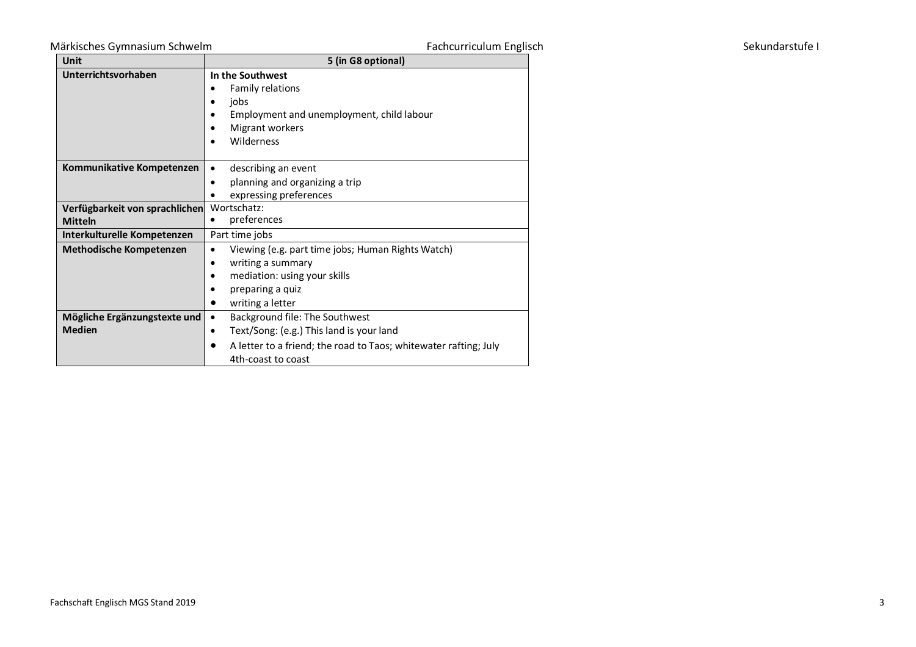## Märkisches Gymnasium Schwelm eine Eine Eine Eine Fachcurriculum Englisch Sekundarstufe Institute Institute Institute I

| Fachcurriculum Englisch |  |
|-------------------------|--|
|-------------------------|--|

| <b>Unit</b>                    | 5 (in G8 optional)                                               |  |  |
|--------------------------------|------------------------------------------------------------------|--|--|
| Unterrichtsvorhaben            | In the Southwest                                                 |  |  |
|                                | Family relations                                                 |  |  |
|                                | jobs<br>٠                                                        |  |  |
|                                | Employment and unemployment, child labour                        |  |  |
|                                | Migrant workers                                                  |  |  |
|                                | Wilderness                                                       |  |  |
|                                |                                                                  |  |  |
| Kommunikative Kompetenzen      | describing an event                                              |  |  |
|                                | planning and organizing a trip<br>$\bullet$                      |  |  |
|                                | expressing preferences                                           |  |  |
| Verfügbarkeit von sprachlichen | Wortschatz:                                                      |  |  |
| <b>Mitteln</b>                 | preferences                                                      |  |  |
| Interkulturelle Kompetenzen    | Part time jobs                                                   |  |  |
| <b>Methodische Kompetenzen</b> | Viewing (e.g. part time jobs; Human Rights Watch)                |  |  |
|                                | writing a summary<br>٠                                           |  |  |
|                                | mediation: using your skills                                     |  |  |
|                                | preparing a quiz                                                 |  |  |
|                                | writing a letter                                                 |  |  |
| Mögliche Ergänzungstexte und   | Background file: The Southwest                                   |  |  |
| <b>Medien</b>                  | Text/Song: (e.g.) This land is your land<br>$\bullet$            |  |  |
|                                | A letter to a friend; the road to Taos; whitewater rafting; July |  |  |
|                                | 4th-coast to coast                                               |  |  |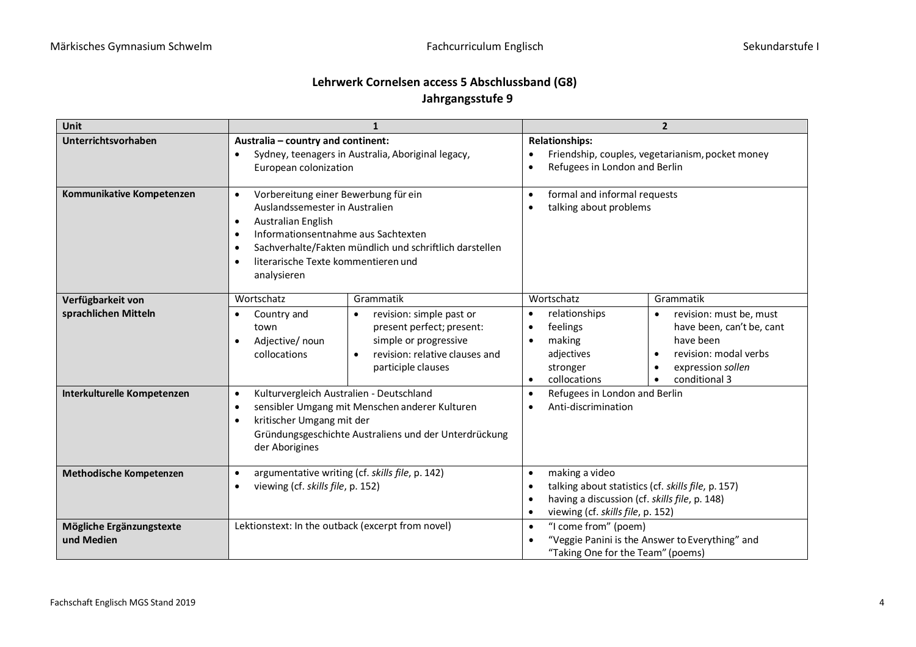## **Lehrwerk Cornelsen access 5 Abschlussband (G8) Jahrgangsstufe 9**

| Unit                                      | $\mathbf{1}$                                                                                                                                                                                                                                                                                       |                                                                                                                                                                  | $\overline{2}$                                                                                                                                                                       |                                                                                                                                                                                                   |
|-------------------------------------------|----------------------------------------------------------------------------------------------------------------------------------------------------------------------------------------------------------------------------------------------------------------------------------------------------|------------------------------------------------------------------------------------------------------------------------------------------------------------------|--------------------------------------------------------------------------------------------------------------------------------------------------------------------------------------|---------------------------------------------------------------------------------------------------------------------------------------------------------------------------------------------------|
| Unterrichtsvorhaben                       | Australia - country and continent:<br>Sydney, teenagers in Australia, Aboriginal legacy,<br>European colonization                                                                                                                                                                                  |                                                                                                                                                                  | <b>Relationships:</b><br>Friendship, couples, vegetarianism, pocket money<br>Refugees in London and Berlin<br>$\bullet$                                                              |                                                                                                                                                                                                   |
| Kommunikative Kompetenzen                 | Vorbereitung einer Bewerbung für ein<br>$\bullet$<br>Auslandssemester in Australien<br><b>Australian English</b><br>$\bullet$<br>Informationsentnahme aus Sachtexten<br>$\bullet$<br>Sachverhalte/Fakten mündlich und schriftlich darstellen<br>literarische Texte kommentieren und<br>analysieren |                                                                                                                                                                  | formal and informal requests<br>$\bullet$<br>talking about problems                                                                                                                  |                                                                                                                                                                                                   |
| Verfügbarkeit von<br>sprachlichen Mitteln | Wortschatz<br>Country and<br>town<br>Adjective/ noun<br>$\bullet$<br>collocations                                                                                                                                                                                                                  | Grammatik<br>revision: simple past or<br>present perfect; present:<br>simple or progressive<br>revision: relative clauses and<br>$\bullet$<br>participle clauses | Wortschatz<br>relationships<br>feelings<br>making<br>$\bullet$<br>adjectives<br>stronger<br>collocations<br>$\bullet$                                                                | Grammatik<br>revision: must be, must<br>$\bullet$<br>have been, can't be, cant<br>have been<br>revision: modal verbs<br>$\bullet$<br>expression sollen<br>$\bullet$<br>conditional 3<br>$\bullet$ |
| Interkulturelle Kompetenzen               | Kulturvergleich Australien - Deutschland<br>$\bullet$<br>sensibler Umgang mit Menschen anderer Kulturen<br>kritischer Umgang mit der<br>Gründungsgeschichte Australiens und der Unterdrückung<br>der Aborigines                                                                                    |                                                                                                                                                                  | Refugees in London and Berlin<br>$\bullet$<br>Anti-discrimination                                                                                                                    |                                                                                                                                                                                                   |
| Methodische Kompetenzen                   | argumentative writing (cf. skills file, p. 142)<br>$\bullet$<br>viewing (cf. skills file, p. 152)<br>$\bullet$                                                                                                                                                                                     |                                                                                                                                                                  | making a video<br>$\bullet$<br>talking about statistics (cf. skills file, p. 157)<br>having a discussion (cf. skills file, p. 148)<br>viewing (cf. skills file, p. 152)<br>$\bullet$ |                                                                                                                                                                                                   |
| Mögliche Ergänzungstexte<br>und Medien    | Lektionstext: In the outback (excerpt from novel)                                                                                                                                                                                                                                                  |                                                                                                                                                                  | "I come from" (poem)<br>$\bullet$<br>"Veggie Panini is the Answer to Everything" and<br>"Taking One for the Team" (poems)                                                            |                                                                                                                                                                                                   |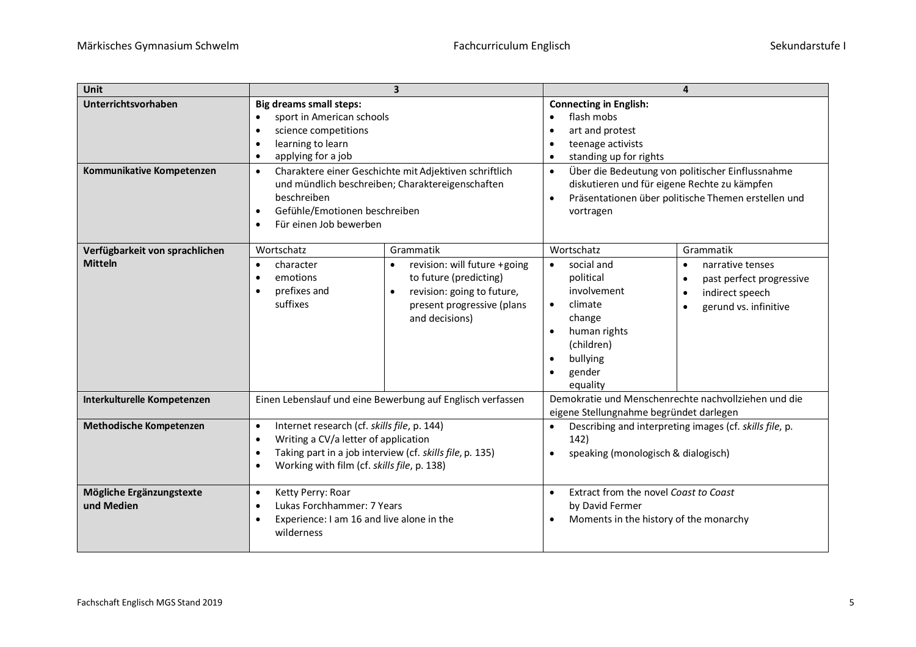| Unit                                   | $\overline{\mathbf{3}}$                                                                                                                                                                                                     |                                                                                                                                      | 4                                                                                                                                                                                 |                                                                                                                                              |
|----------------------------------------|-----------------------------------------------------------------------------------------------------------------------------------------------------------------------------------------------------------------------------|--------------------------------------------------------------------------------------------------------------------------------------|-----------------------------------------------------------------------------------------------------------------------------------------------------------------------------------|----------------------------------------------------------------------------------------------------------------------------------------------|
| Unterrichtsvorhaben                    | <b>Big dreams small steps:</b><br>sport in American schools<br>$\bullet$<br>science competitions<br>$\bullet$<br>learning to learn<br>$\bullet$<br>applying for a job<br>$\bullet$                                          |                                                                                                                                      | <b>Connecting in English:</b><br>flash mobs<br>$\bullet$<br>art and protest<br>teenage activists<br>standing up for rights<br>$\bullet$                                           |                                                                                                                                              |
| Kommunikative Kompetenzen              | Charaktere einer Geschichte mit Adjektiven schriftlich<br>$\bullet$<br>und mündlich beschreiben; Charaktereigenschaften<br>beschreiben<br>Gefühle/Emotionen beschreiben<br>$\bullet$<br>Für einen Job bewerben<br>$\bullet$ |                                                                                                                                      | Über die Bedeutung von politischer Einflussnahme<br>$\bullet$<br>diskutieren und für eigene Rechte zu kämpfen<br>Präsentationen über politische Themen erstellen und<br>vortragen |                                                                                                                                              |
| Verfügbarkeit von sprachlichen         | Wortschatz                                                                                                                                                                                                                  | Grammatik                                                                                                                            | Wortschatz                                                                                                                                                                        | Grammatik                                                                                                                                    |
| <b>Mitteln</b>                         | character<br>$\bullet$<br>emotions<br>prefixes and<br>$\bullet$<br>suffixes                                                                                                                                                 | revision: will future +going<br>to future (predicting)<br>revision: going to future,<br>present progressive (plans<br>and decisions) | social and<br>$\bullet$<br>political<br>involvement<br>climate<br>$\bullet$<br>change<br>human rights<br>(children)<br>bullying<br>$\bullet$<br>gender<br>equality                | narrative tenses<br>$\bullet$<br>past perfect progressive<br>$\bullet$<br>indirect speech<br>$\bullet$<br>gerund vs. infinitive<br>$\bullet$ |
| Interkulturelle Kompetenzen            | Einen Lebenslauf und eine Bewerbung auf Englisch verfassen                                                                                                                                                                  |                                                                                                                                      | Demokratie und Menschenrechte nachvollziehen und die<br>eigene Stellungnahme begründet darlegen                                                                                   |                                                                                                                                              |
| Methodische Kompetenzen                | Internet research (cf. skills file, p. 144)<br>$\bullet$<br>Writing a CV/a letter of application<br>$\bullet$<br>Taking part in a job interview (cf. skills file, p. 135)<br>Working with film (cf. skills file, p. 138)    |                                                                                                                                      | Describing and interpreting images (cf. skills file, p.<br>$\bullet$<br>142)<br>speaking (monologisch & dialogisch)<br>$\bullet$                                                  |                                                                                                                                              |
| Mögliche Ergänzungstexte<br>und Medien | Ketty Perry: Roar<br>$\bullet$<br>Lukas Forchhammer: 7 Years<br>$\bullet$<br>Experience: I am 16 and live alone in the<br>wilderness                                                                                        |                                                                                                                                      | Extract from the novel Coast to Coast<br>$\bullet$<br>by David Fermer<br>Moments in the history of the monarchy                                                                   |                                                                                                                                              |